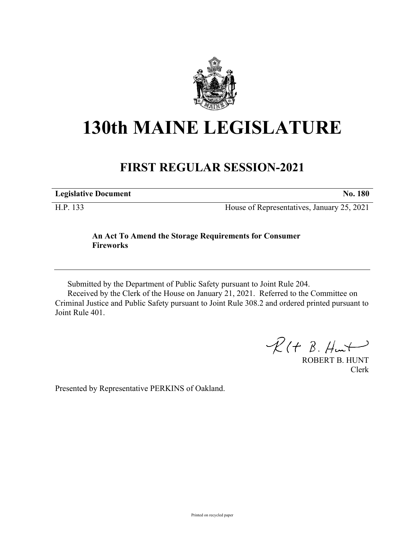

## **130th MAINE LEGISLATURE**

## **FIRST REGULAR SESSION-2021**

**Legislative Document No. 180**

H.P. 133 House of Representatives, January 25, 2021

## **An Act To Amend the Storage Requirements for Consumer Fireworks**

Submitted by the Department of Public Safety pursuant to Joint Rule 204.

Received by the Clerk of the House on January 21, 2021. Referred to the Committee on Criminal Justice and Public Safety pursuant to Joint Rule 308.2 and ordered printed pursuant to Joint Rule 401.

 $R(H B. H<sub>un</sub>+)$ 

ROBERT B. HUNT Clerk

Presented by Representative PERKINS of Oakland.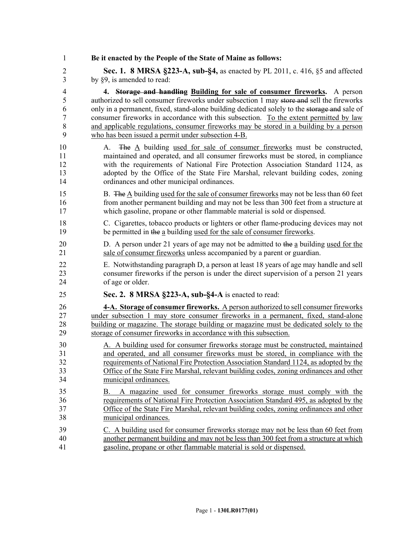1 **Be it enacted by the People of the State of Maine as follows:** 2 **Sec. 1. 8 MRSA §223-A, sub-§4,** as enacted by PL 2011, c. 416, §5 and affected 3 by §9, is amended to read: 4 **4. Storage and handling Building for sale of consumer fireworks.** A person 5 authorized to sell consumer fireworks under subsection 1 may store and sell the fireworks 6 only in a permanent, fixed, stand-alone building dedicated solely to the storage and sale of 7 consumer fireworks in accordance with this subsection. To the extent permitted by law 8 and applicable regulations, consumer fireworks may be stored in a building by a person 9 who has been issued a permit under subsection 4-B. 10 A. The A building used for sale of consumer fireworks must be constructed, 11 maintained and operated, and all consumer fireworks must be stored, in compliance 12 with the requirements of National Fire Protection Association Standard 1124, as 13 adopted by the Office of the State Fire Marshal, relevant building codes, zoning 14 ordinances and other municipal ordinances. 15 B. The A building used for the sale of consumer fireworks may not be less than 60 feet 16 from another permanent building and may not be less than 300 feet from a structure at 17 which gasoline, propane or other flammable material is sold or dispensed. 18 C. Cigarettes, tobacco products or lighters or other flame-producing devices may not 19 be permitted in the a building used for the sale of consumer fireworks. 20 D. A person under 21 years of age may not be admitted to the a building used for the 21 sale of consumer fireworks unless accompanied by a parent or guardian. 22 E. Notwithstanding paragraph D, a person at least 18 years of age may handle and sell 23 consumer fireworks if the person is under the direct supervision of a person 21 years 24 of age or older. 25 **Sec. 2. 8 MRSA §223-A, sub-§4-A** is enacted to read: 26 **4-A. Storage of consumer fireworks.** A person authorized to sell consumer fireworks 27 under subsection 1 may store consumer fireworks in a permanent, fixed, stand-alone 28 building or magazine. The storage building or magazine must be dedicated solely to the 29 storage of consumer fireworks in accordance with this subsection. 30 A. A building used for consumer fireworks storage must be constructed, maintained 31 and operated, and all consumer fireworks must be stored, in compliance with the 32 requirements of National Fire Protection Association Standard 1124, as adopted by the 33 Office of the State Fire Marshal, relevant building codes, zoning ordinances and other 34 municipal ordinances. 35 B. A magazine used for consumer fireworks storage must comply with the 36 requirements of National Fire Protection Association Standard 495, as adopted by the 37 Office of the State Fire Marshal, relevant building codes, zoning ordinances and other 38 municipal ordinances. 39 C. A building used for consumer fireworks storage may not be less than 60 feet from 40 another permanent building and may not be less than 300 feet from a structure at which 41 gasoline, propane or other flammable material is sold or dispensed.